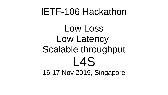#### IETF-106 Hackathon

Low Loss Low Latency Scalable throughput L4S 16-17 Nov 2019, Singapore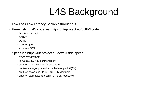## L4S Background

- Low Loss Low Latency Scalable throughput
- Pre-existing L4S code via: https://riteproject.eu/dctth/#code
	- DualPI2 Linux qdisc
	- $\cdot$  BBR $v2$
	- DCTCP
	- TCP Prague
	- Accurate ECN
- Specs via https://riteproject.eu/dctth/#stds-specs:
	- $\cdot$  RFC8257 (DCTCP)
	- RFC8311 (ECN Experimentation)
	- draft-ietf-tsvwg-l4s-arch (architecture)
	- draft-ietf-tsvwg-aqm-dualq-coupled (coupled AQMs)
	- draft-ietf-tsvwg-ecn-l4s-id (L4S-ECN identifier)
	- draft-ietf-tcpm-accurate-ecn (TCP ECN feedback)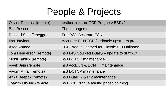#### People & Projects

| <b>Olivier Tilmans (remote)</b> | testbed interop: TCP Prague v BBRv2         |
|---------------------------------|---------------------------------------------|
| <b>Bob Briscoe</b>              | The management                              |
| <b>Richard Scheffenegger</b>    | <b>FreeBSD Accurate ECN</b>                 |
| Ilpo Järvinen                   | Accurate ECN TCP feedback: upstream prep    |
| <b>Asad Ahmed</b>               | TCP Prague Testbed for Classic ECN fallback |
| Tom Henderson (remote)          | ns3 L4S Coupled DualQ – update to draft-10  |
| Mohit Tahilini (remote)         | ns3 DCTCP maintenance                       |
| Vivek Jain (remote)             | ns3 AccECN & ECN++ maintenance              |
| Viyom Mittal (remote)           | ns3 DCTCP maintenance                       |
| <b>Ankit Deepak (remote)</b>    | ns3 DualPI2 & PI2 maintenance               |
| Joakim Misund (remote)          | ns3 TCP Prague adding paced chirping        |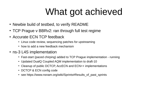# What got achieved

- Newbie build of testbed, to verify README
- TCP Prague v BBRv2: ran through full test regime
- Accurate ECN TCP feedback
	- Linux code review, sequencing patches for upstreaming
	- how to add a new feedback mechanism
- ns-3 L4S implementation
	- Fast-start (paced chirping) added to TCP Prague implementation running
	- Updated DualQ Coupled AQM implementation to draft-10
	- Cleanup of public DCTCP, AccECN and ECN++ implementations
	- DCTCP & ECN config code
	- see https://www.nsnam.org/wiki/Sprints#Results of past sprints